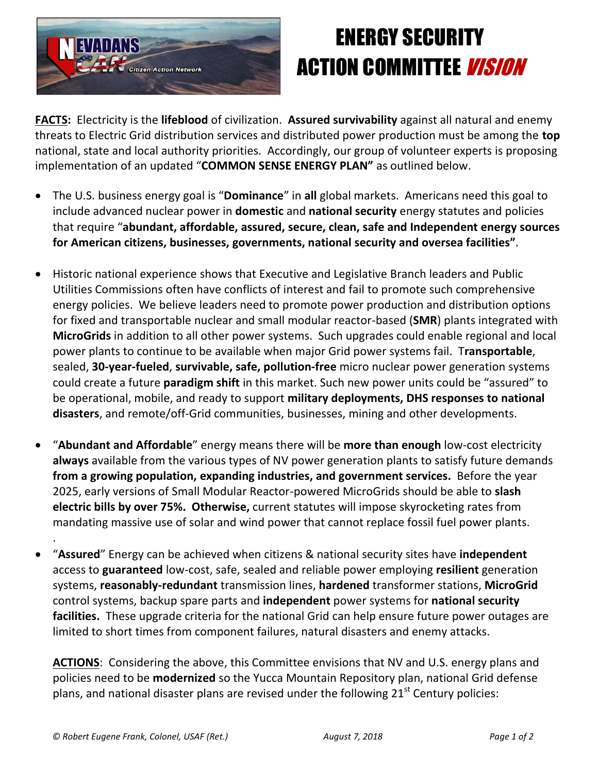

## ENERGY SECURITY **ACTION COMMITTEE** *VISION*

**FACTS:** Electricity is the **lifeblood** of civilization. **Assured survivability** against all natural and enemy threats to Electric Grid distribution services and distributed power production must be among the **top** national, state and local authority priorities. Accordingly, our group of volunteer experts is proposing implementation of an updated "**COMMON SENSE ENERGY PLAN"** as outlined below.

- The U.S. business energy goal is "**Dominance**" in **all** global markets. Americans need this goal to include advanced nuclear power in **domestic** and **national security** energy statutes and policies that require "**abundant, affordable, assured, secure, clean, safe and Independent energy sources for American citizens, businesses, governments, national security and oversea facilities"**.
- Historic national experience shows that Executive and Legislative Branch leaders and Public Utilities Commissions often have conflicts of interest and fail to promote such comprehensive energy policies. We believe leaders need to promote power production and distribution options for fixed and transportable nuclear and small modular reactor-based (**SMR**) plants integrated with **MicroGrids** in addition to all other power systems. Such upgrades could enable regional and local power plants to continue to be available when major Grid power systems fail. T**ransportable**, sealed, **30-year-fueled**, **survivable, safe, pollution-free** micro nuclear power generation systems could create a future **paradigm shift** in this market. Such new power units could be "assured" to be operational, mobile, and ready to support **military deployments, DHS responses to national disasters**, and remote/off-Grid communities, businesses, mining and other developments.
- "**Abundant and Affordable**" energy means there will be **more than enough** low-cost electricity **always** available from the various types of NV power generation plants to satisfy future demands **from a growing population, expanding industries, and government services.** Before the year 2025, early versions of Small Modular Reactor-powered MicroGrids should be able to **slash electric bills by over 75%. Otherwise,** current statutes will impose skyrocketing rates from mandating massive use of solar and wind power that cannot replace fossil fuel power plants.
- "**Assured**" Energy can be achieved when citizens & national security sites have **independent** access to **guaranteed** low-cost, safe, sealed and reliable power employing **resilient** generation systems, **reasonably-redundant** transmission lines, **hardened** transformer stations, **MicroGrid** control systems, backup spare parts and **independent** power systems for **national security facilities.** These upgrade criteria for the national Grid can help ensure future power outages are limited to short times from component failures, natural disasters and enemy attacks.

**ACTIONS**: Considering the above, this Committee envisions that NV and U.S. energy plans and policies need to be **modernized** so the Yucca Mountain Repository plan, national Grid defense plans, and national disaster plans are revised under the following  $21<sup>st</sup>$  Century policies:

.